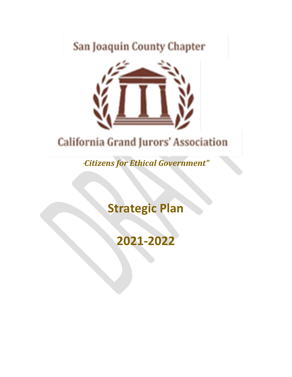## San Joaquin County Chapter



## **California Grand Jurors' Association**

*"Citizens for Ethical Government"*

**Strategic Plan**

**2021-2022**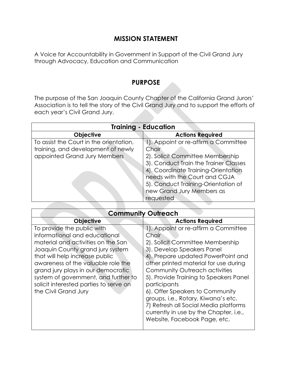## **MISSION STATEMENT**

A Voice for Accountability in Government in Support of the Civil Grand Jury through Advocacy, Education and Communication

## **PURPOSE**

The purpose of the San Joaquin County Chapter of the California Grand Jurors' Association is to tell the story of the Civil Grand Jury and to support the efforts of each year's Civil Grand Jury.

| <b>Training - Education</b>             |                                       |
|-----------------------------------------|---------------------------------------|
| <b>Objective</b>                        | <b>Actions Required</b>               |
| To assist the Court in the orientation, | 1). Appoint or re-affirm a Committee  |
| training, and development of newly      | Chair                                 |
| appointed Grand Jury Members            | 2). Solicit Committee Membership      |
|                                         | 3). Conduct Train the Trainer Classes |
|                                         | 4). Coordinate Training-Orientation   |
|                                         | needs with the Court and CGJA         |
|                                         | 5). Conduct Training-Orientation of   |
|                                         | new Grand Jury Members as             |
|                                         | requested                             |

| <b>Community Outreach</b>                                                                                                                                                                                                                                                                                                                                     |                                                                                                                                                                                                                                                                                                                                                                                                                                                                                        |
|---------------------------------------------------------------------------------------------------------------------------------------------------------------------------------------------------------------------------------------------------------------------------------------------------------------------------------------------------------------|----------------------------------------------------------------------------------------------------------------------------------------------------------------------------------------------------------------------------------------------------------------------------------------------------------------------------------------------------------------------------------------------------------------------------------------------------------------------------------------|
| <b>Objective</b>                                                                                                                                                                                                                                                                                                                                              | <b>Actions Required</b>                                                                                                                                                                                                                                                                                                                                                                                                                                                                |
| To provide the public with<br>informational and educational<br>material and activities on the San<br>Joaquin County grand jury system<br>that will help increase public<br>awareness of the valuable role the<br>grand jury plays in our democratic<br>system of government, and further to<br>solicit interested parties to serve on<br>the Civil Grand Jury | 1). Appoint or re-affirm a Committee<br>Chair<br>2). Solicit Committee Membership<br>3). Develop Speakers Panel<br>4). Prepare updated PowerPoint and<br>other printed material for use during<br>Community Outreach activities<br>5). Provide Training to Speakers Panel<br>participants<br>6). Offer Speakers to Community<br>groups, i.e., Rotary, Kiwana's etc.<br>7) Refresh all Social Media platforms<br>currently in use by the Chapter, i.e.,<br>Website, Facebook Page, etc. |